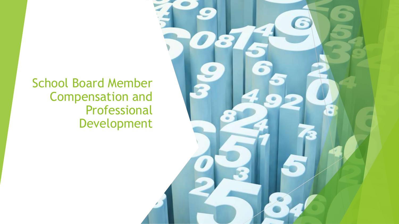School Board Member Compensation and Professional Development

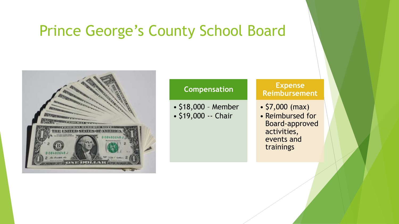#### Prince George's County School Board



#### **Compensation**

• \$18,000 – Member • \$19,000 -- Chair

#### **Expense Reimbursement**

- \$7,000 (max)
- Reimbursed for Board-approved activities, events and trainings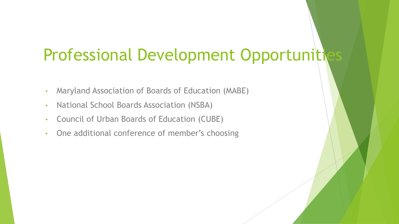## Professional Development Opportunities

- Maryland Association of Boards of Education (MABE)
- National School Boards Association (NSBA)
- Council of Urban Boards of Education (CUBE)
- One additional conference of member's choosing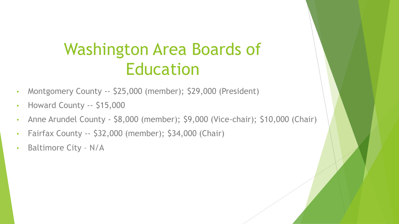## Washington Area Boards of Education

- Montgomery County -- \$25,000 (member); \$29,000 (President)
- Howard County -- \$15,000
- Anne Arundel County \$8,000 (member); \$9,000 (Vice-chair); \$10,000 (Chair)
- Fairfax County -- \$32,000 (member); \$34,000 (Chair)
- Baltimore City N/A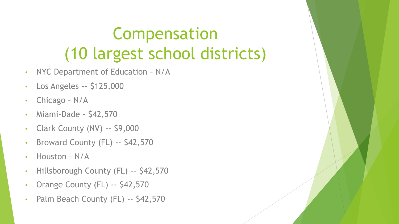# Compensation (10 largest school districts)

- NYC Department of Education N/A
- Los Angeles -- \$125,000
- Chicago N/A
- Miami-Dade \$42,570
- Clark County (NV) -- \$9,000
- Broward County (FL) -- \$42,570
- Houston N/A
- Hillsborough County (FL) -- \$42,570
- Orange County (FL) -- \$42,570
- Palm Beach County (FL) -- \$42,570